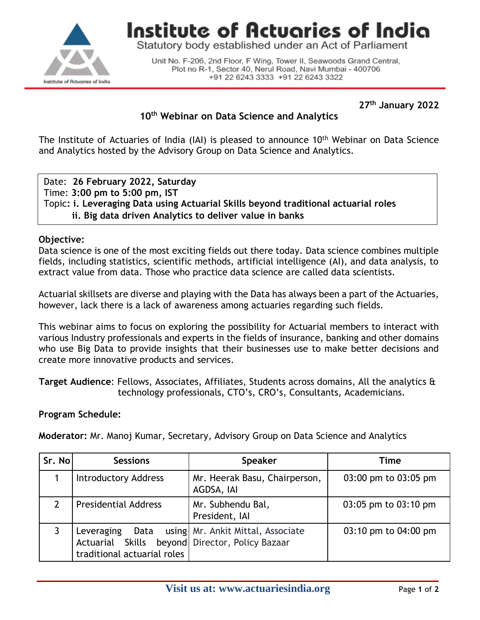

Institute of Actuaries of India

Statutory body established under an Act of Parliament

Unit No. F-206, 2nd Floor, F Wing, Tower II, Seawoods Grand Central, Plot no R-1, Sector 40, Nerul Road, Navi Mumbai - 400706 +91 22 6243 3333 +91 22 6243 3322

**27 th January 2022**

# **10th Webinar on Data Science and Analytics**

The Institute of Actuaries of India (IAI) is pleased to announce 10<sup>th</sup> Webinar on Data Science and Analytics hosted by the Advisory Group on Data Science and Analytics.

Date: **26 February 2022, Saturday** Time: **3:00 pm to 5:00 pm, IST** Topic**: i. Leveraging Data using Actuarial Skills beyond traditional actuarial roles ii. Big data driven Analytics to deliver value in banks**

### **Objective:**

Data science is one of the most exciting fields out there today. Data science combines multiple fields, including statistics, scientific methods, artificial intelligence (AI), and data analysis, to extract value from data. Those who practice data science are called data scientists.

Actuarial skillsets are diverse and playing with the Data has always been a part of the Actuaries, however, lack there is a lack of awareness among actuaries regarding such fields.

This webinar aims to focus on exploring the possibility for Actuarial members to interact with various Industry professionals and experts in the fields of insurance, banking and other domains who use Big Data to provide insights that their businesses use to make better decisions and create more innovative products and services.

**Target Audience**: Fellows, Associates, Affiliates, Students across domains, All the analytics & technology professionals, CTO's, CRO's, Consultants, Academicians.

### **Program Schedule:**

**Moderator:** Mr. Manoj Kumar, Secretary, Advisory Group on Data Science and Analytics

| Sr. No | <b>Sessions</b>                                                                              | <b>Speaker</b>                              | Time                 |
|--------|----------------------------------------------------------------------------------------------|---------------------------------------------|----------------------|
|        | <b>Introductory Address</b>                                                                  | Mr. Heerak Basu, Chairperson,<br>AGDSA, IAI | 03:00 pm to 03:05 pm |
|        | <b>Presidential Address</b>                                                                  | Mr. Subhendu Bal,<br>President, IAI         | 03:05 pm to 03:10 pm |
|        | Leveraging<br>Actuarial Skills beyond Director, Policy Bazaar<br>traditional actuarial roles | Data using Mr. Ankit Mittal, Associate      | 03:10 pm to 04:00 pm |